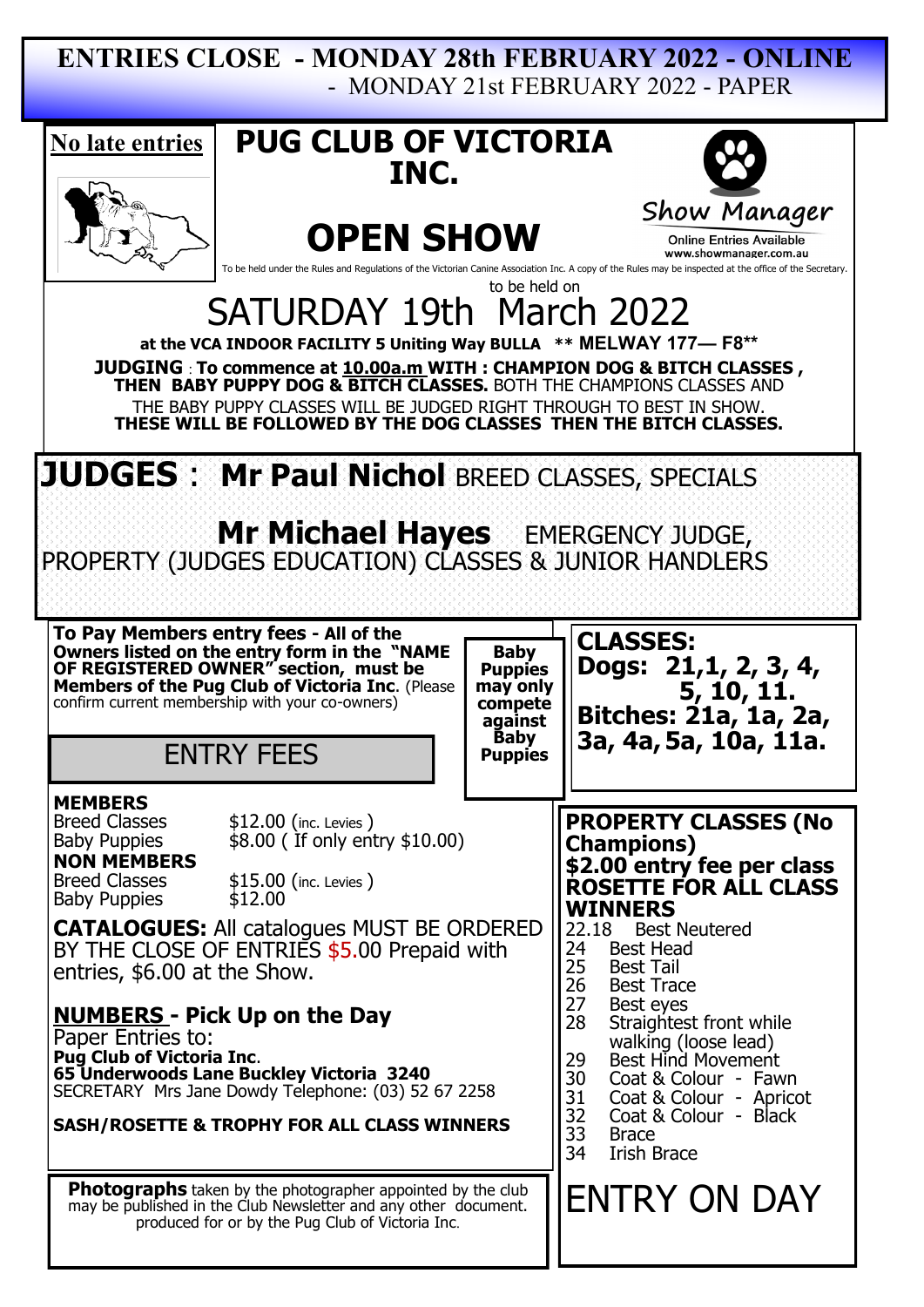## **ENTRIES CLOSE - MONDAY 28th FEBRUARY 2022 - ONLINE** - MONDAY 21st FEBRUARY 2022 - PAPER

| <b>PUG CLUB OF VICTORIA</b><br>No late entries<br>INC.                                                                                                                                                                                                                                                                                                                                                                                                                                                                                                                                                                                  |                                                                                                                                                                                                                                                                                                                                                                                                                                                                       |
|-----------------------------------------------------------------------------------------------------------------------------------------------------------------------------------------------------------------------------------------------------------------------------------------------------------------------------------------------------------------------------------------------------------------------------------------------------------------------------------------------------------------------------------------------------------------------------------------------------------------------------------------|-----------------------------------------------------------------------------------------------------------------------------------------------------------------------------------------------------------------------------------------------------------------------------------------------------------------------------------------------------------------------------------------------------------------------------------------------------------------------|
| <b>OPEN SHOW</b><br>To be held under the Rules and Regulations of the Victorian Canine Association Inc. A copy of the Rules may be inspected at the office of the Secretary.<br>to be held on                                                                                                                                                                                                                                                                                                                                                                                                                                           | Show Manager<br><b>Online Entries Available</b><br>www.showmanager.com.au                                                                                                                                                                                                                                                                                                                                                                                             |
| SATURDAY 19th March 2022<br>at the VCA INDOOR FACILITY 5 Uniting Way BULLA ** MELWAY 177- F8**<br><b>JUDGING : To commence at <u>10.00a.m</u> WITH : CHAMPION DOG &amp; BITCH CLASSES,</b><br>THEN BABY PUPPY DOG & BITCH CLASSES. BOTH THE CHAMPIONS CLASSES AND<br>THE BABY PUPPY CLASSES WILL BE JUDGED RIGHT THROUGH TO BEST IN SHOW.<br>THESE WILL BE FOLLOWED BY THE DOG CLASSES THEN THE BITCH CLASSES.                                                                                                                                                                                                                          |                                                                                                                                                                                                                                                                                                                                                                                                                                                                       |
| JUDGES: Mr Paul Nichol BREED CLASSES, SPECIALS<br><b>Mr Michael Hayes</b> EMERGENCY JUDGE,<br>PROPERTY (JUDGES EDUCATION) CLASSES & JUNIOR HANDLERS                                                                                                                                                                                                                                                                                                                                                                                                                                                                                     |                                                                                                                                                                                                                                                                                                                                                                                                                                                                       |
| To Pay Members entry fees - All of the<br>Owners listed on the entry form in the "NAME<br><b>Baby</b><br>OF REGISTERED OWNER" section, must be<br>Members of the Pug Club of Victoria Inc. (Please<br>confirm current membership with your co-owners)<br><b>Puppies</b><br>may only<br>compete<br>against<br><b>Baby</b><br><b>ENTRY FEES</b><br><b>Puppies</b>                                                                                                                                                                                                                                                                         | <b>CLASSES:</b><br>Dogs: 21, 1, 2, 3, 4,<br>5, 10, 11.<br>Bitches: 21a, 1a, 2a,<br>3a, 4a, 5a, 10a, 11a.                                                                                                                                                                                                                                                                                                                                                              |
| <b>MEMBERS</b><br><b>Breed Classes</b><br>$$12.00$ (inc. Levies)<br>$$8.00$ (If only entry $$10.00$ )<br><b>Baby Puppies</b><br><b>NON MEMBERS</b><br><b>Breed Classes</b><br>$$15.00$ (inc. Levies)<br>\$12.00<br><b>Baby Puppies</b><br><b>CATALOGUES:</b> All catalogues MUST BE ORDERED<br>BY THE CLOSE OF ENTRIES \$5.00 Prepaid with<br>entries, \$6.00 at the Show.<br><b>NUMBERS</b> - Pick Up on the Day<br>Paper Entries to:<br><b>Pug Club of Victoria Inc.</b><br>65 Underwoods Lane Buckley Victoria 3240<br>SECRETARY Mrs Jane Dowdy Telephone: (03) 52 67 2258<br><b>SASH/ROSETTE &amp; TROPHY FOR ALL CLASS WINNERS</b> | <b>PROPERTY CLASSES (No</b><br><b>Champions)</b><br>\$2.00 entry fee per class<br>ROSETTE FOR ALL CLASS<br><b>WINNERS</b><br>22.18<br><b>Best Neutered</b><br>24<br><b>Best Head</b><br>25<br><b>Best Tail</b><br>26<br><b>Best Trace</b><br>27<br>Best eyes<br>28<br>Straightest front while<br>walking (loose lead)<br>Best Hind Movement<br>29<br>30<br>Coat & Colour - Fawn<br>31<br>Coat & Colour - Apricot<br>32<br>Coat & Colour - Black<br>33<br><b>Brace</b> |
| <b>Photographs</b> taken by the photographer appointed by the club<br>may be published in the Club Newsletter and any other document.<br>produced for or by the Pug Club of Victoria Inc.                                                                                                                                                                                                                                                                                                                                                                                                                                               | 34<br>Irish Brace<br><b>ENTRY ON DAY</b>                                                                                                                                                                                                                                                                                                                                                                                                                              |